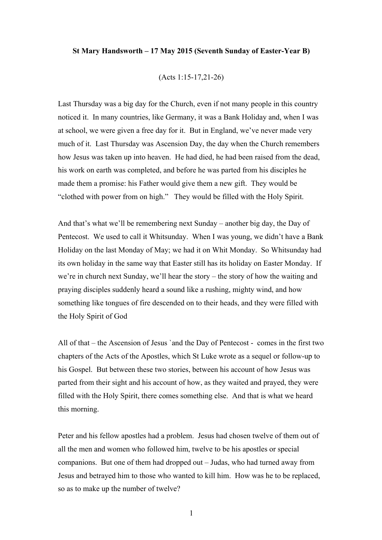## **St Mary Handsworth – 17 May 2015 (Seventh Sunday of Easter-Year B)**

## (Acts 1:15-17,21-26)

Last Thursday was a big day for the Church, even if not many people in this country noticed it. In many countries, like Germany, it was a Bank Holiday and, when I was at school, we were given a free day for it. But in England, we've never made very much of it. Last Thursday was Ascension Day, the day when the Church remembers how Jesus was taken up into heaven. He had died, he had been raised from the dead, his work on earth was completed, and before he was parted from his disciples he made them a promise: his Father would give them a new gift. They would be "clothed with power from on high." They would be filled with the Holy Spirit.

And that's what we'll be remembering next Sunday – another big day, the Day of Pentecost. We used to call it Whitsunday. When I was young, we didn't have a Bank Holiday on the last Monday of May; we had it on Whit Monday. So Whitsunday had its own holiday in the same way that Easter still has its holiday on Easter Monday. If we're in church next Sunday, we'll hear the story – the story of how the waiting and praying disciples suddenly heard a sound like a rushing, mighty wind, and how something like tongues of fire descended on to their heads, and they were filled with the Holy Spirit of God

All of that – the Ascension of Jesus `and the Day of Pentecost - comes in the first two chapters of the Acts of the Apostles, which St Luke wrote as a sequel or follow-up to his Gospel. But between these two stories, between his account of how Jesus was parted from their sight and his account of how, as they waited and prayed, they were filled with the Holy Spirit, there comes something else. And that is what we heard this morning.

Peter and his fellow apostles had a problem. Jesus had chosen twelve of them out of all the men and women who followed him, twelve to be his apostles or special companions. But one of them had dropped out – Judas, who had turned away from Jesus and betrayed him to those who wanted to kill him. How was he to be replaced, so as to make up the number of twelve?

1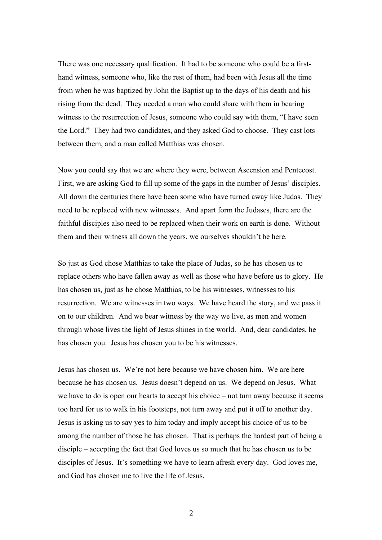There was one necessary qualification. It had to be someone who could be a firsthand witness, someone who, like the rest of them, had been with Jesus all the time from when he was baptized by John the Baptist up to the days of his death and his rising from the dead. They needed a man who could share with them in bearing witness to the resurrection of Jesus, someone who could say with them, "I have seen the Lord." They had two candidates, and they asked God to choose. They cast lots between them, and a man called Matthias was chosen.

Now you could say that we are where they were, between Ascension and Pentecost. First, we are asking God to fill up some of the gaps in the number of Jesus' disciples. All down the centuries there have been some who have turned away like Judas. They need to be replaced with new witnesses. And apart form the Judases, there are the faithful disciples also need to be replaced when their work on earth is done. Without them and their witness all down the years, we ourselves shouldn't be here.

So just as God chose Matthias to take the place of Judas, so he has chosen us to replace others who have fallen away as well as those who have before us to glory. He has chosen us, just as he chose Matthias, to be his witnesses, witnesses to his resurrection. We are witnesses in two ways. We have heard the story, and we pass it on to our children. And we bear witness by the way we live, as men and women through whose lives the light of Jesus shines in the world. And, dear candidates, he has chosen you. Jesus has chosen you to be his witnesses.

Jesus has chosen us. We're not here because we have chosen him. We are here because he has chosen us. Jesus doesn't depend on us. We depend on Jesus. What we have to do is open our hearts to accept his choice – not turn away because it seems too hard for us to walk in his footsteps, not turn away and put it off to another day. Jesus is asking us to say yes to him today and imply accept his choice of us to be among the number of those he has chosen. That is perhaps the hardest part of being a disciple – accepting the fact that God loves us so much that he has chosen us to be disciples of Jesus. It's something we have to learn afresh every day. God loves me, and God has chosen me to live the life of Jesus.

2